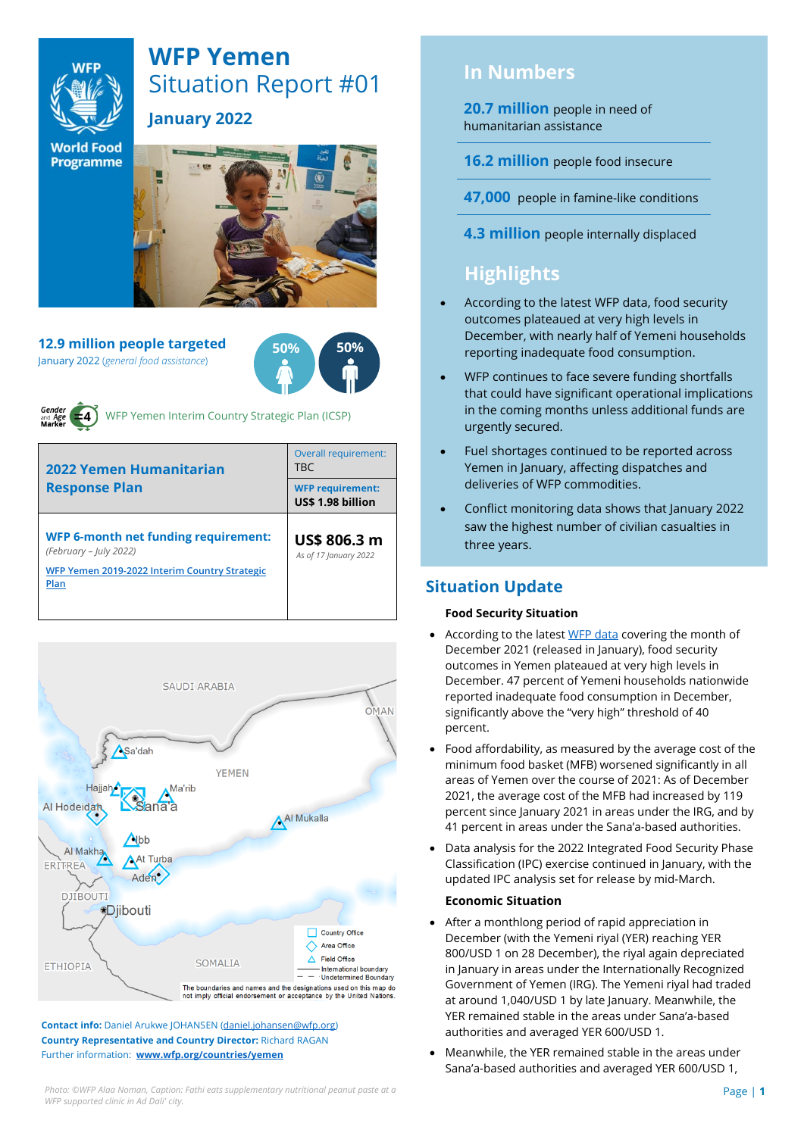

# **WFP Yemen** Situation Report #01

**January 2022**

**World Food Programme** 

**12.9 million people targeted** January 2022 (*general food assistance*)

**50% 50%**



WFP Yemen Interim Country Strategic Plan (ICSP)

| 2022 Yemen Humanitarian<br><b>Response Plan</b>                                                                                | Overall requirement:<br><b>TRC</b>           |  |  |
|--------------------------------------------------------------------------------------------------------------------------------|----------------------------------------------|--|--|
|                                                                                                                                | <b>WFP requirement:</b><br>US\$ 1.98 billion |  |  |
| <b>WFP 6-month net funding requirement:</b><br>(February - July 2022)<br>WFP Yemen 2019-2022 Interim Country Strategic<br>Plan | US\$ 806.3 m<br>As of 17 January 2022        |  |  |
|                                                                                                                                |                                              |  |  |



**Contact info:** Daniel Arukwe JOHANSEN [\(daniel.johansen@wfp.org\)](mailto:daniel.johansen@wfp.org) **Country Representative and Country Director:** Richard RAGAN Further information: **[www.wfp.org/countries/yemen](http://www.wfp.org/countries/yemen)**

**20.7 million** people in need of humanitarian assistance

**16.2 million** people food insecure

**47,000** people in famine-like conditions

**4.3 million** people internally displaced

# **Highlights**

- According to the latest WFP data, food security outcomes plateaued at very high levels in December, with nearly half of Yemeni households reporting inadequate food consumption.
- WFP continues to face severe funding shortfalls that could have significant operational implications in the coming months unless additional funds are urgently secured.
- Fuel shortages continued to be reported across Yemen in January, affecting dispatches and deliveries of WFP commodities.
- Conflict monitoring data shows that January 2022 saw the highest number of civilian casualties in three years.

## **Situation Update**

### **Food Security Situation**

- According to the lates[t WFP data](https://reliefweb.int/report/yemen/wfp-yemen-food-security-update-january-2022) covering the month of December 2021 (released in January), food security outcomes in Yemen plateaued at very high levels in December. 47 percent of Yemeni households nationwide reported inadequate food consumption in December, significantly above the "very high" threshold of 40 percent.
- Food affordability, as measured by the average cost of the minimum food basket (MFB) worsened significantly in all areas of Yemen over the course of 2021: As of December 2021, the average cost of the MFB had increased by 119 percent since January 2021 in areas under the IRG, and by 41 percent in areas under the Sana'a-based authorities.
- Data analysis for the 2022 Integrated Food Security Phase Classification (IPC) exercise continued in January, with the updated IPC analysis set for release by mid-March.

### **Economic Situation**

- After a monthlong period of rapid appreciation in December (with the Yemeni riyal (YER) reaching YER 800/USD 1 on 28 December), the riyal again depreciated in January in areas under the Internationally Recognized Government of Yemen (IRG). The Yemeni riyal had traded at around 1,040/USD 1 by late January. Meanwhile, the YER remained stable in the areas under Sana'a-based authorities and averaged YER 600/USD 1.
- Meanwhile, the YER remained stable in the areas under Sana'a-based authorities and averaged YER 600/USD 1,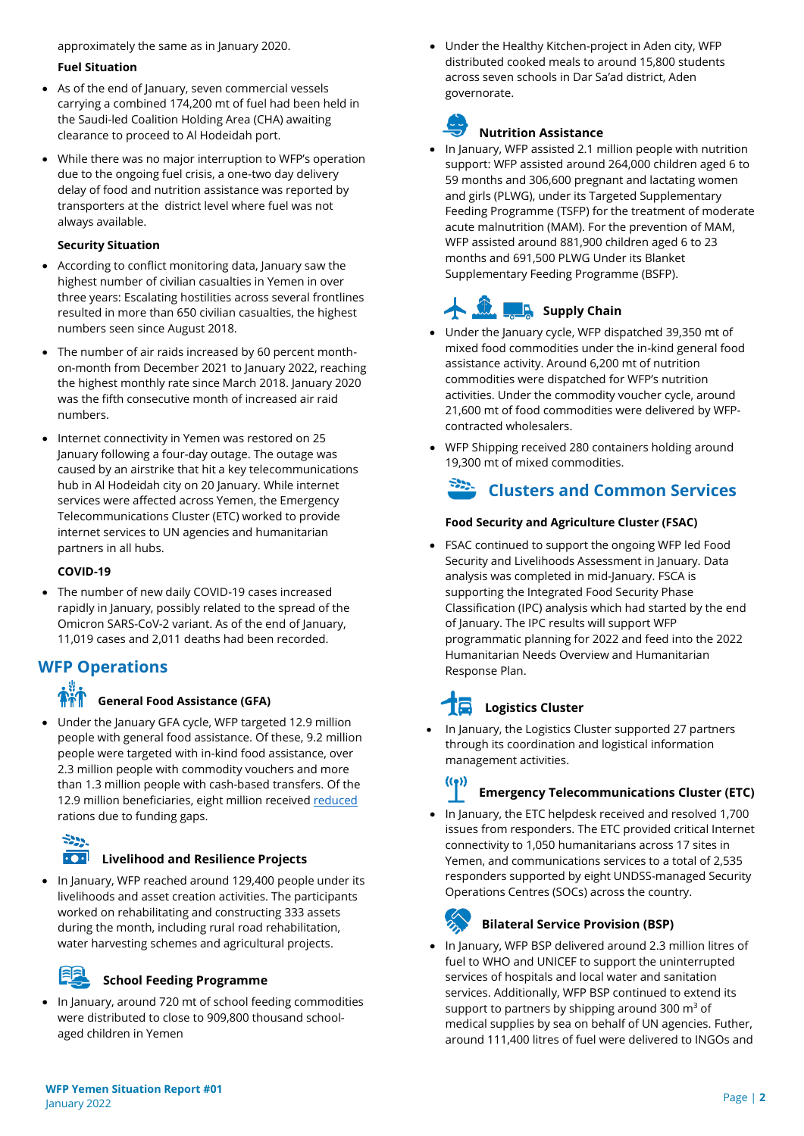approximately the same as in January 2020.

### **Fuel Situation**

- As of the end of January, seven commercial vessels carrying a combined 174,200 mt of fuel had been held in the Saudi-led Coalition Holding Area (CHA) awaiting clearance to proceed to Al Hodeidah port.
- While there was no major interruption to WFP's operation due to the ongoing fuel crisis, a one-two day delivery delay of food and nutrition assistance was reported by transporters at the district level where fuel was not always available.

### **Security Situation**

- According to conflict monitoring data, January saw the highest number of civilian casualties in Yemen in over three years: Escalating hostilities across several frontlines resulted in more than 650 civilian casualties, the highest numbers seen since August 2018.
- The number of air raids increased by 60 percent monthon-month from December 2021 to January 2022, reaching the highest monthly rate since March 2018. January 2020 was the fifth consecutive month of increased air raid numbers.
- Internet connectivity in Yemen was restored on 25 January following a four-day outage. The outage was caused by an airstrike that hit a key telecommunications hub in Al Hodeidah city on 20 January. While internet services were affected across Yemen, the Emergency Telecommunications Cluster (ETC) worked to provide internet services to UN agencies and humanitarian partners in all hubs.

### **COVID-19**

The number of new daily COVID-19 cases increased rapidly in January, possibly related to the spread of the Omicron SARS-CoV-2 variant. As of the end of January, 11,019 cases and 2,011 deaths had been recorded.

## **WFP Operations**

### **General Food Assistance (GFA)**

• Under the January GFA cycle, WFP targeted 12.9 million people with general food assistance. Of these, 9.2 million people were targeted with in-kind food assistance, over 2.3 million people with commodity vouchers and more than 1.3 million people with cash-based transfers. Of the 12.9 million beneficiaries, eight million receive[d reduced](https://www.wfp.org/news/wfp-forced-cut-food-assistance-yemen-warns-impact-hunger-rises) rations due to funding gaps.



### **Livelihood and Resilience Projects**

• In January, WFP reached around 129,400 people under its livelihoods and asset creation activities. The participants worked on rehabilitating and constructing 333 assets during the month, including rural road rehabilitation, water harvesting schemes and agricultural projects.



### **School Feeding Programme**

• In January, around 720 mt of school feeding commodities were distributed to close to 909,800 thousand schoolaged children in Yemen

• Under the Healthy Kitchen-project in Aden city, WFP distributed cooked meals to around 15,800 students across seven schools in Dar Sa'ad district, Aden governorate.



### **Nutrition Assistance**

• In January, WFP assisted 2.1 million people with nutrition support: WFP assisted around 264,000 children aged 6 to 59 months and 306,600 pregnant and lactating women and girls (PLWG), under its Targeted Supplementary Feeding Programme (TSFP) for the treatment of moderate acute malnutrition (MAM). For the prevention of MAM, WFP assisted around 881,900 children aged 6 to 23 months and 691,500 PLWG Under its Blanket Supplementary Feeding Programme (BSFP).

# **Supply Chain**

- Under the January cycle, WFP dispatched 39,350 mt of mixed food commodities under the in-kind general food assistance activity. Around 6,200 mt of nutrition commodities were dispatched for WFP's nutrition activities. Under the commodity voucher cycle, around 21,600 mt of food commodities were delivered by WFPcontracted wholesalers.
- WFP Shipping received 280 containers holding around 19,300 mt of mixed commodities.

# **Clusters and Common Services**

### **Food Security and Agriculture Cluster (FSAC)**

• FSAC continued to support the ongoing WFP led Food Security and Livelihoods Assessment in January. Data analysis was completed in mid-January. FSCA is supporting the Integrated Food Security Phase Classification (IPC) analysis which had started by the end of January. The IPC results will support WFP programmatic planning for 2022 and feed into the 2022 Humanitarian Needs Overview and Humanitarian Response Plan.

# **Logistics Cluster**

• In January, the Logistics Cluster supported 27 partners through its coordination and logistical information management activities.

# $((\bullet))$

### **Emergency Telecommunications Cluster (ETC)**

• In January, the ETC helpdesk received and resolved 1,700 issues from responders. The ETC provided critical Internet connectivity to 1,050 humanitarians across 17 sites in Yemen, and communications services to a total of 2,535 responders supported by eight UNDSS-managed Security Operations Centres (SOCs) across the country.

### **Bilateral Service Provision (BSP)**

• In January, WFP BSP delivered around 2.3 million litres of fuel to WHO and UNICEF to support the uninterrupted services of hospitals and local water and sanitation services. Additionally, WFP BSP continued to extend its support to partners by shipping around 300  $m^3$  of medical supplies by sea on behalf of UN agencies. Futher, around 111,400 litres of fuel were delivered to INGOs and